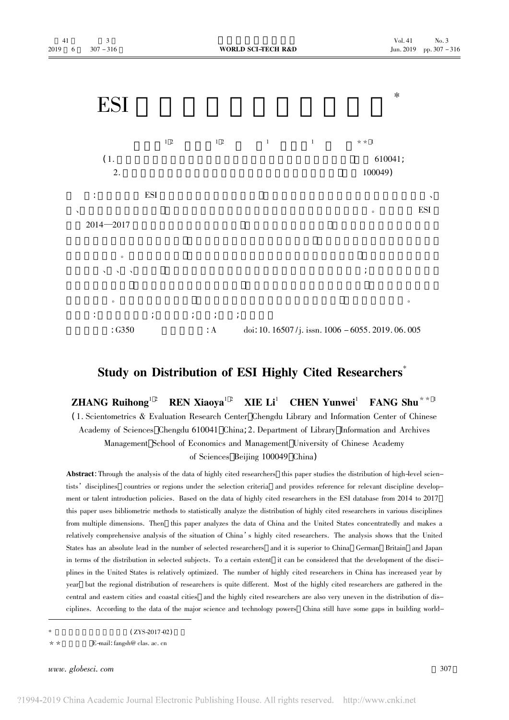

## Study on Distribution of ESI Highly Cited Researchers<sup>®</sup>

**ZHANG** Ruihong<sup>12</sup> **REN Xiaoya**<sup>12</sup> **XIE**  $Li^1$ **CHEN Yunwei**<sup>1</sup> FANG Shu<sup>\*\* 1</sup>

(1. Scientometrics & Evaluation Research Center Chengdu Library and Information Center of Chinese Academy of Sciences Chengdu 610041 China; 2. Department of Library Information and Archives Management School of Economics and Management University of Chinese Academy of Sciences Beijing 100049 China)

Abstract: Through the analysis of the data of highly cited researchers this paper studies the distribution of high-level scientists' disciplines countries or regions under the selection criteria and provides reference for relevant discipline development or talent introduction policies. Based on the data of highly cited researchers in the ESI database from 2014 to 2017 this paper uses bibliometric methods to statistically analyze the distribution of highly cited researchers in various disciplines from multiple dimensions. Then this paper analyzes the data of China and the United States concentratedly and makes a relatively comprehensive analysis of the situation of China's highly cited researchers. The analysis shows that the United States has an absolute lead in the number of selected researchers and it is superior to China German Britain and Japan in terms of the distribution in selected subjects. To a certain extent it can be considered that the development of the disciplines in the United States is relatively optimized. The number of highly cited researchers in China has increased year by year but the regional distribution of researchers is quite different. Most of the highly cited researchers are gathered in the central and eastern cities and coastal cities and the highly cited researchers are also very uneven in the distribution of disciplines. According to the data of the major science and technology powers China still have some gaps in building world-

 $(ZYS - 2017 - 02)$ 

 $* *$ E-mail: fangsh@ clas. ac. cn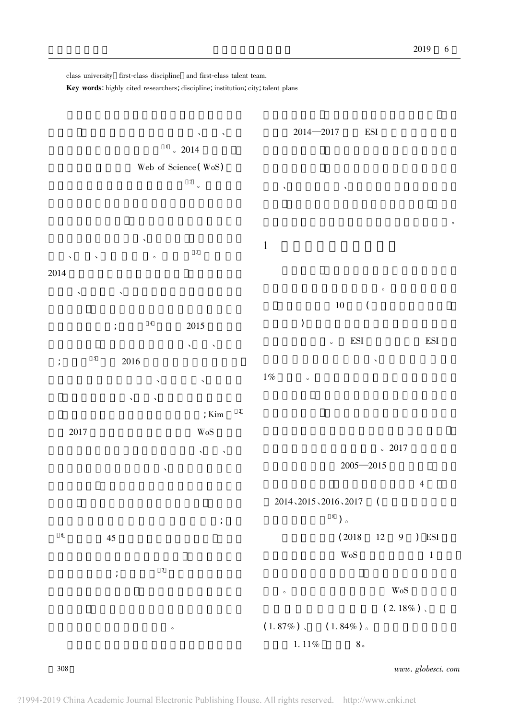class university first-class discipline and first-class talent team.

Key words: highly cited researchers, discipline, institution, city, talent plans



308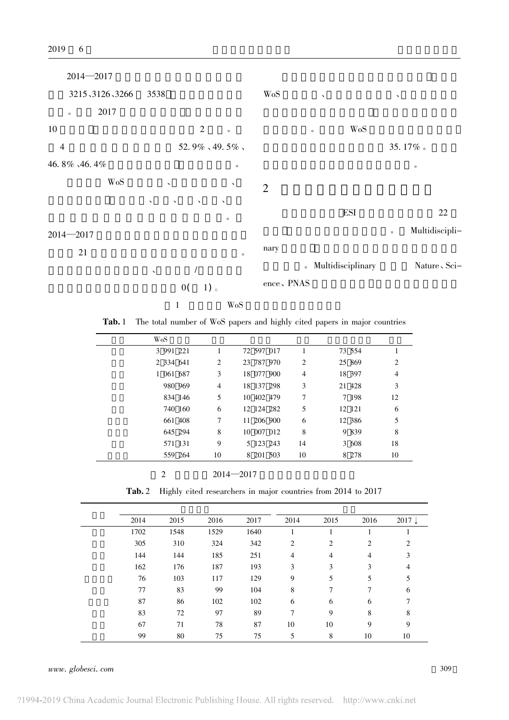

Tab. 1 The total number of WoS papers and highly cited papers in major countries

| WoS       |         |    |            |    |        |    |
|-----------|---------|----|------------|----|--------|----|
| 3 991 221 |         |    | 72 597 017 |    | 73 554 |    |
| 2 334 641 |         | 2  | 23 787 970 | 2  | 25 869 | 2  |
| 1 061 687 |         | 3  | 18 077 900 | 4  | 18 397 | 4  |
|           | 980 969 | 4  | 18 137 298 | 3  | 21 428 | 3  |
|           | 834 146 | 5  | 10 402 479 | 7  | 7 198  | 12 |
|           | 740 160 | 6  | 12 124 282 | 5  | 12 121 | 6  |
|           | 661 408 | 7  | 11 206 900 | 6  | 12 386 | 5  |
|           | 645 294 | 8  | 10 007 012 | 8  | 9 839  | 8  |
|           | 571 131 | 9  | 5 123 243  | 14 | 3 608  | 18 |
|           | 559 264 | 10 | 8 201 503  | 10 | 8 278  | 10 |

 $2014 - 2017$ 

 $\overline{2}$ 

**Tab. 2** Highly cited researchers in major countries from 2014 to 2017

| 2014 | 2015 | 2016 | 2017 | 2014 | 2015 | 2016           | $2017 \downarrow$ |
|------|------|------|------|------|------|----------------|-------------------|
| 1702 | 1548 | 1529 | 1640 |      |      |                |                   |
| 305  | 310  | 324  | 342  | 2    | 2    | 2              | 2                 |
| 144  | 144  | 185  | 251  | 4    | 4    | $\overline{4}$ | 3                 |
| 162  | 176  | 187  | 193  | 3    | 3    | 3              | 4                 |
| 76   | 103  | 117  | 129  | 9    | 5    | 5              | 5                 |
| 77   | 83   | 99   | 104  | 8    | 7    | 7              | 6                 |
| 87   | 86   | 102  | 102  | 6    | 6    | 6              | 7                 |
| 83   | 72   | 97   | 89   | 7    | 9    | 8              | 8                 |
| 67   | 71   | 78   | 87   | 10   | 10   | 9              | 9                 |
| 99   | 80   | 75   | 75   | 5    | 8    | 10             | 10                |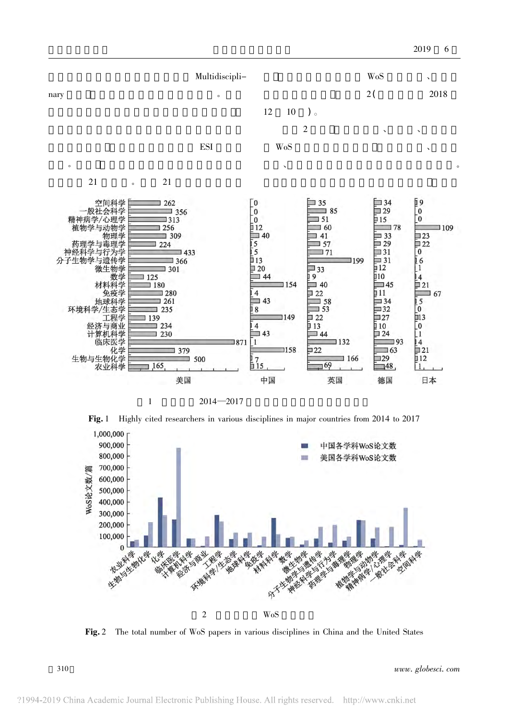

Fig. 1 Highly cited researchers in various disciplines in major countries from 2014 to 2017



Fig. 2 The total number of WoS papers in various disciplines in China and the United States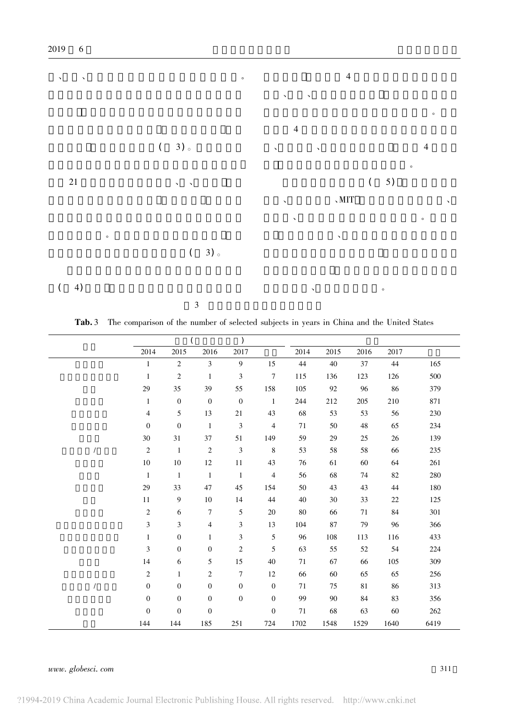

Tab. 3 The comparison of the number of selected subjects in years in China and the United States

|                | 2014             | 2015             | 2016             | 2017             |                  | 2014   | 2015 | 2016 | 2017   |      |
|----------------|------------------|------------------|------------------|------------------|------------------|--------|------|------|--------|------|
|                | $\mathbf{1}$     | $\sqrt{2}$       | $\mathfrak{Z}$   | 9                | 15               | 44     | 40   | 37   | 44     | 165  |
|                | $\mathbf{1}$     | $\sqrt{2}$       | $\mathbf{1}$     | 3                | $\overline{7}$   | 115    | 136  | 123  | 126    | 500  |
|                | 29               | 35               | 39               | 55               | 158              | 105    | 92   | 96   | 86     | 379  |
|                | $1\,$            | $\boldsymbol{0}$ | $\boldsymbol{0}$ | $\boldsymbol{0}$ | $\overline{1}$   | 244    | 212  | 205  | 210    | 871  |
|                | $\overline{4}$   | $\sqrt{5}$       | 13               | 21               | 43               | 68     | 53   | 53   | 56     | 230  |
|                | $\boldsymbol{0}$ | $\boldsymbol{0}$ | $\mathbf{1}$     | $\mathfrak 3$    | $\overline{4}$   | $71\,$ | 50   | 48   | 65     | 234  |
|                | 30               | 31               | 37               | 51               | 149              | 59     | 29   | 25   | 26     | 139  |
| $\overline{1}$ | $\sqrt{2}$       | $\mathbf{1}$     | $\overline{2}$   | $\mathfrak{Z}$   | $\,8\,$          | 53     | 58   | 58   | 66     | 235  |
|                | $10\,$           | $10\,$           | 12               | $11\,$           | 43               | 76     | 61   | 60   | 64     | 261  |
|                | $\mathbf{1}$     | $1\,$            | $\mathbf{1}$     | $\mathbf{1}$     | $\overline{4}$   | 56     | 68   | 74   | 82     | 280  |
|                | 29               | 33               | 47               | 45               | 154              | 50     | 43   | 43   | 44     | 180  |
|                | $11\,$           | $\overline{9}$   | 10               | 14               | 44               | 40     | 30   | 33   | $22\,$ | 125  |
|                | $\sqrt{2}$       | $\sqrt{6}$       | $\overline{7}$   | 5                | 20               | $80\,$ | 66   | 71   | 84     | 301  |
|                | $\mathfrak{Z}$   | 3                | 4                | 3                | 13               | 104    | 87   | 79   | 96     | 366  |
|                | $\mathbf{1}$     | $\boldsymbol{0}$ | $\mathbf{1}$     | 3                | 5                | 96     | 108  | 113  | 116    | 433  |
|                | $\mathfrak{Z}$   | $\mathbf{0}$     | $\mathbf{0}$     | $\boldsymbol{2}$ | 5                | 63     | 55   | 52   | 54     | 224  |
|                | $14\,$           | 6                | 5                | 15               | 40               | 71     | 67   | 66   | 105    | 309  |
|                | $\boldsymbol{2}$ | 1                | $\sqrt{2}$       | $\overline{7}$   | 12               | 66     | 60   | 65   | 65     | 256  |
| $\sqrt{2}$     | $\boldsymbol{0}$ | $\mathbf{0}$     | $\boldsymbol{0}$ | $\boldsymbol{0}$ | $\mathbf{0}$     | 71     | 75   | 81   | 86     | 313  |
|                | $\boldsymbol{0}$ | $\boldsymbol{0}$ | $\boldsymbol{0}$ | $\boldsymbol{0}$ | $\boldsymbol{0}$ | 99     | 90   | 84   | 83     | 356  |
|                | $\boldsymbol{0}$ | $\boldsymbol{0}$ | $\boldsymbol{0}$ |                  | $\boldsymbol{0}$ | 71     | 68   | 63   | 60     | 262  |
|                | 144              | 144              | 185              | 251              | 724              | 1702   | 1548 | 1529 | 1640   | 6419 |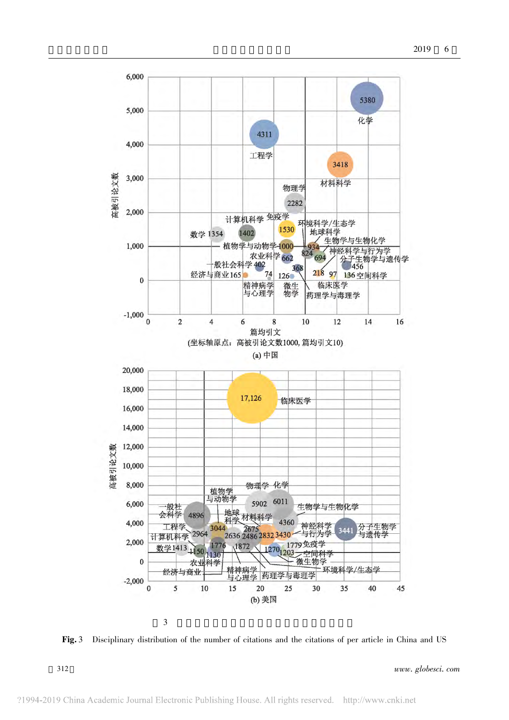

Fig. 3 Disciplinary distribution of the number of citations and the citations of per article in China and US

312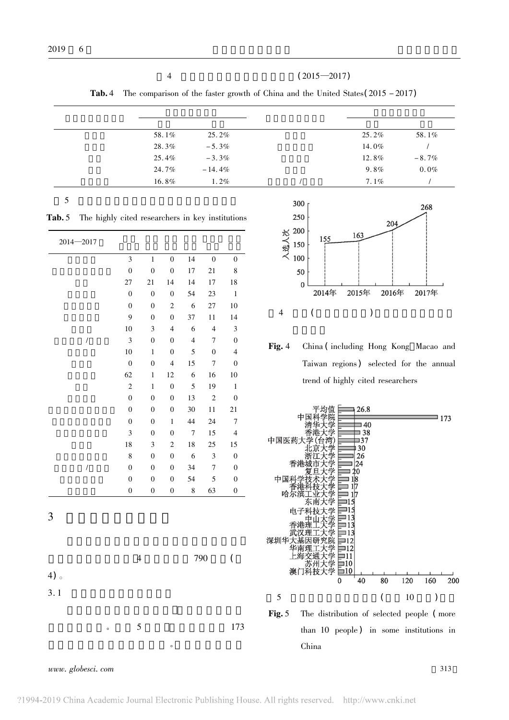$\overline{4}$ 

 $(2015 - 2017)$ 

The comparison of the faster growth of China and the United States  $(2015 - 2017)$ Tab. 4

| 58.1% | $25.2\%$  | $25.2\%$ | 58.1%    |
|-------|-----------|----------|----------|
| 28.3% | $-5.3\%$  | 14.0%    |          |
| 25.4% | $-3.3\%$  | $12.8\%$ | $-8.7\%$ |
| 24.7% | $-14.4\%$ | $9.8\%$  | $0.0\%$  |
| 16.8% | $1.2\%$   | $7.1\%$  |          |
|       |           |          |          |

5

Tab. 5 The highly cited researchers in key institutions

| $2014 - 2017$        |                  |                  |                         |                |                  |                  |
|----------------------|------------------|------------------|-------------------------|----------------|------------------|------------------|
|                      | 3                | $\mathbf{1}$     | $\boldsymbol{0}$        | 14             | $\overline{0}$   | $\boldsymbol{0}$ |
|                      | $\overline{0}$   | $\overline{0}$   | $\boldsymbol{0}$        | 17             | 21               | 8                |
|                      | 27               | 21               | 14                      | 14             | 17               | 18               |
|                      | $\boldsymbol{0}$ | $\overline{0}$   | $\boldsymbol{0}$        | 54             | 23               | $\,1\,$          |
|                      | $\mathbf{0}$     | $\mathbf{0}$     | $\overline{2}$          | 6              | 27               | 10               |
|                      | $\overline{9}$   | $\mathbf{0}$     | $\mathbf{0}$            | 37             | 11               | 14               |
|                      | 10               | 3                | $\overline{4}$          | 6              | $\overline{4}$   | 3                |
| $\sqrt{\phantom{a}}$ | 3                | $\overline{0}$   | $\mathbf{0}$            | $\overline{4}$ | 7                | $\overline{0}$   |
|                      | 10               | $\,1\,$          | $\boldsymbol{0}$        | 5              | $\boldsymbol{0}$ | $\overline{4}$   |
|                      | $\overline{0}$   | $\overline{0}$   | $\overline{\mathbf{4}}$ | 15             | $\overline{7}$   | $\overline{0}$   |
|                      | 62               | $\mathbf{1}$     | 12                      | 6              | 16               | 10               |
|                      | $\overline{c}$   | $\mathbf{1}$     | $\overline{0}$          | 5              | 19               | $\mathbf 1$      |
|                      | $\overline{0}$   | $\overline{0}$   | $\mathbf{0}$            | 13             | $\overline{c}$   | $\boldsymbol{0}$ |
|                      | $\mathbf{0}$     | $\overline{0}$   | $\boldsymbol{0}$        | 30             | $11\,$           | 21               |
|                      | $\boldsymbol{0}$ | $\boldsymbol{0}$ | 1                       | 44             | 24               | $\sqrt{ }$       |
|                      | 3                | $\overline{0}$   | $\boldsymbol{0}$        | $\overline{7}$ | 15               | $\overline{4}$   |
|                      | 18               | 3                | $\overline{c}$          | 18             | 25               | 15               |
|                      | 8                | $\overline{0}$   | $\boldsymbol{0}$        | 6              | 3                | $\overline{0}$   |
| $\sqrt{\phantom{a}}$ | $\mathbf{0}$     | $\boldsymbol{0}$ | $\boldsymbol{0}$        | 34             | 7                | $\boldsymbol{0}$ |
|                      | $\boldsymbol{0}$ | $\boldsymbol{0}$ | $\boldsymbol{0}$        | 54             | 5                | $\boldsymbol{0}$ |
|                      | $\boldsymbol{0}$ | $\boldsymbol{0}$ | $\boldsymbol{0}$        | 8              | 63               | 0                |
| 3                    |                  |                  |                         |                |                  |                  |
|                      |                  | $\overline{4}$   |                         |                | 790              | (                |
| $4)$ 。               |                  |                  |                         |                |                  |                  |
| 3.1                  |                  |                  |                         |                |                  |                  |
| $\circ$              |                  | 5                |                         |                |                  | 173              |
|                      |                  |                  | $\circ$                 |                |                  |                  |



Fig. 4 China (including Hong Kong Macao and Taiwan regions) selected for the annual trend of highly cited researchers

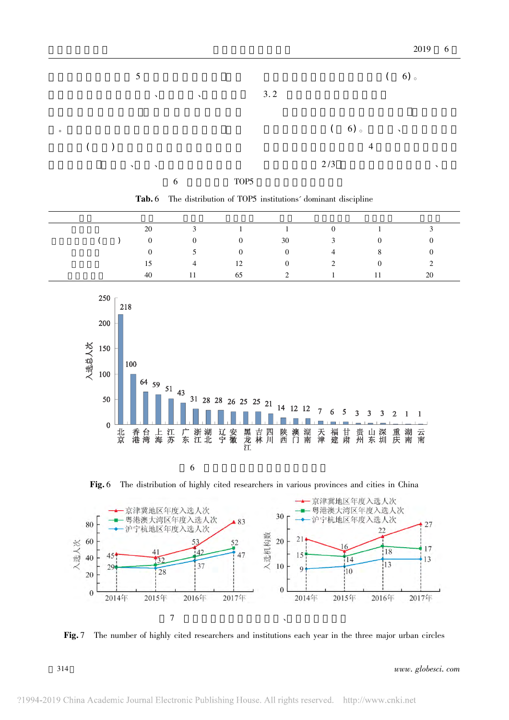|         | 5             |           |   |           |      |     |     |                |               | (6) |   |
|---------|---------------|-----------|---|-----------|------|-----|-----|----------------|---------------|-----|---|
|         |               | $\lambda$ |   | $\lambda$ |      | 3.2 |     |                |               |     |   |
|         |               |           |   |           |      |     |     | (6)            | $\sim$ $\sim$ |     |   |
| $($ $)$ | $\mathcal{N}$ | $\lambda$ |   |           |      |     | 2/3 | $\overline{4}$ |               |     | ↘ |
|         |               |           | 6 |           | TOP5 |     |     |                |               |     |   |

Tab. 6 The distribution of TOP5 institutions' dominant discipline

|  |                |                 | 20 3 1 1 0 1 3                                                      |  |                |
|--|----------------|-----------------|---------------------------------------------------------------------|--|----------------|
|  |                |                 | ( ) 0 0 0 30 3 0                                                    |  | $\bf{0}$       |
|  | $\overline{0}$ |                 | $5 \qquad \qquad 0 \qquad \qquad 0 \qquad \qquad 4 \qquad \qquad 8$ |  | $\overline{0}$ |
|  |                |                 | $15 \t 4 \t 12 \t 0 \t 2 \t 0 \t 2$                                 |  |                |
|  | 40             | $11$ and $\sim$ | 65 2 1 1 1                                                          |  | 20             |



6

Fig. 6 The distribution of highly cited researchers in various provinces and cities in China



Fig. 7 The number of highly cited researchers and institutions each year in the three major urban circles

www. globesci. com

314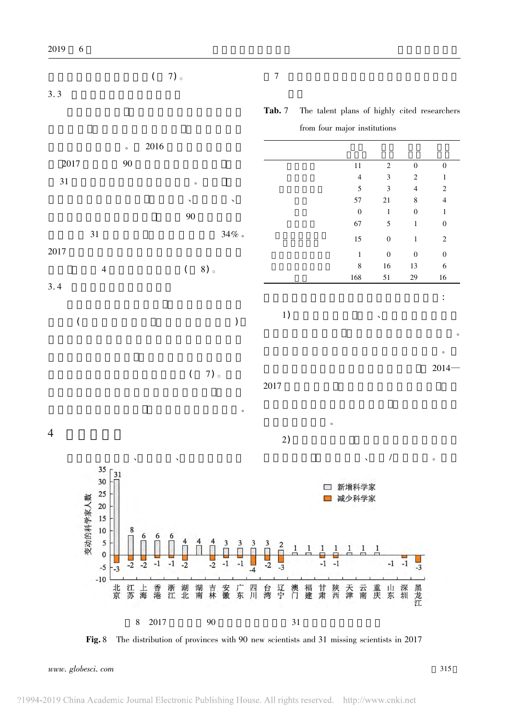$7)$ 。

 $\overline{(\ }$ 

2019

 $3.3$ 

 $\overline{7}$ 

Tab. 7 The talent plans of highly cited researchers from four major institutions

2016  $\overline{a}$ 2017 90 11  $\overline{2}$  $\overline{0}$  $\mathbf{0}$  $\overline{\mathbf{3}}$  $\overline{c}$  $\overline{4}$  $\mathbf{1}$ 31  $\ddot{\phantom{a}}$ 5  $\overline{3}$  $\overline{4}$  $\overline{2}$ 57 8  $\overline{4}$  $21\,$  $\boldsymbol{0}$  $\overline{0}$  $\,1$  $\mathbf{1}$ 90 67 5  $\mathbf 0$  $\mathbf{1}$ 31  $34\%$  . 15  $\boldsymbol{0}$  $\mathbf{1}$  $\sqrt{2}$ 2017  $\overline{0}$  $\boldsymbol{0}$  $\boldsymbol{0}$  $\mathbf{1}$  $\boldsymbol{8}$ 16 13  $\sqrt{6}$  $\overline{4}$  $\overline{(\ }$  $8)$ 168 51 29 16  $3.4$  $\ddot{\cdot}$ 1)  $\overline{\phantom{a}}$  $\overline{(\ }$  $\big)$  $2014 \overline{(}$  $7)$ 。 2017  $\overline{4}$  $2)$  $\prime$ 35 31 30 □ 新增科学家 25 变动的科学家人数 减少科学家  $\sim$ 20 15



Fig. 8 The distribution of provinces with 90 new scientists and 31 missing scientists in 2017

www.globesci.com